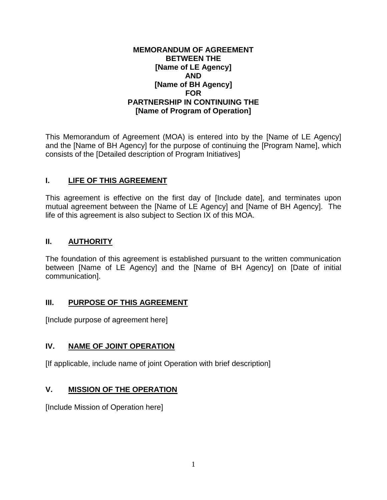#### **MEMORANDUM OF AGREEMENT BETWEEN THE [Name of LE Agency] AND [Name of BH Agency] FOR PARTNERSHIP IN CONTINUING THE [Name of Program of Operation]**

This Memorandum of Agreement (MOA) is entered into by the [Name of LE Agency] and the [Name of BH Agency] for the purpose of continuing the [Program Name], which consists of the [Detailed description of Program Initiatives]

### **I. LIFE OF THIS AGREEMENT**

This agreement is effective on the first day of [Include date], and terminates upon mutual agreement between the [Name of LE Agency] and [Name of BH Agency]. The life of this agreement is also subject to Section IX of this MOA.

#### **II. AUTHORITY**

The foundation of this agreement is established pursuant to the written communication between [Name of LE Agency] and the [Name of BH Agency] on [Date of initial communication].

#### **III. PURPOSE OF THIS AGREEMENT**

[Include purpose of agreement here]

#### **IV. NAME OF JOINT OPERATION**

[If applicable, include name of joint Operation with brief description]

#### **V. MISSION OF THE OPERATION**

[Include Mission of Operation here]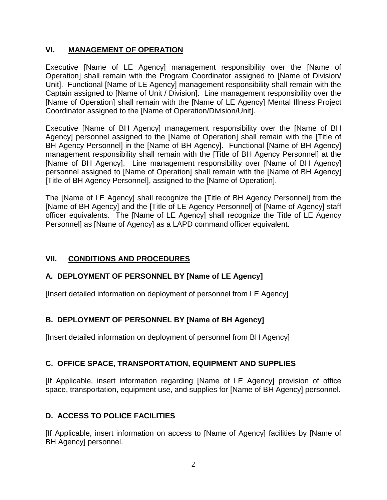### **VI. MANAGEMENT OF OPERATION**

Executive [Name of LE Agency] management responsibility over the [Name of Operation] shall remain with the Program Coordinator assigned to [Name of Division/ Unit]. Functional [Name of LE Agency] management responsibility shall remain with the Captain assigned to [Name of Unit / Division]. Line management responsibility over the [Name of Operation] shall remain with the [Name of LE Agency] Mental Illness Project Coordinator assigned to the [Name of Operation/Division/Unit].

Executive [Name of BH Agency] management responsibility over the [Name of BH Agency] personnel assigned to the [Name of Operation] shall remain with the [Title of BH Agency Personnel] in the [Name of BH Agency]. Functional [Name of BH Agency] management responsibility shall remain with the [Title of BH Agency Personnel] at the [Name of BH Agency]. Line management responsibility over [Name of BH Agency] personnel assigned to [Name of Operation] shall remain with the [Name of BH Agency] [Title of BH Agency Personnel], assigned to the [Name of Operation].

The [Name of LE Agency] shall recognize the [Title of BH Agency Personnel] from the [Name of BH Agency] and the [Title of LE Agency Personnel] of [Name of Agency] staff officer equivalents. The [Name of LE Agency] shall recognize the Title of LE Agency Personnel] as [Name of Agency] as a LAPD command officer equivalent.

# **VII. CONDITIONS AND PROCEDURES**

### **A. DEPLOYMENT OF PERSONNEL BY [Name of LE Agency]**

[Insert detailed information on deployment of personnel from LE Agency]

### **B. DEPLOYMENT OF PERSONNEL BY [Name of BH Agency]**

[Insert detailed information on deployment of personnel from BH Agency]

### **C. OFFICE SPACE, TRANSPORTATION, EQUIPMENT AND SUPPLIES**

[If Applicable, insert information regarding [Name of LE Agency] provision of office space, transportation, equipment use, and supplies for [Name of BH Agency] personnel.

# **D. ACCESS TO POLICE FACILITIES**

[If Applicable, insert information on access to [Name of Agency] facilities by [Name of BH Agency] personnel.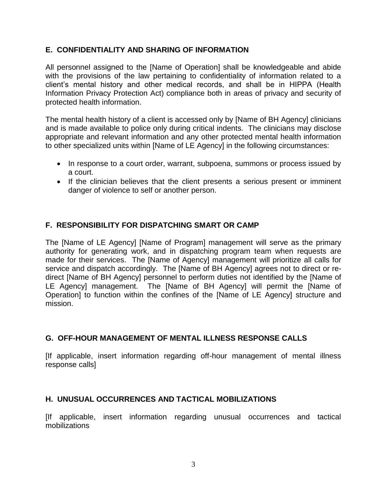#### **E. CONFIDENTIALITY AND SHARING OF INFORMATION**

All personnel assigned to the [Name of Operation] shall be knowledgeable and abide with the provisions of the law pertaining to confidentiality of information related to a client's mental history and other medical records, and shall be in HIPPA (Health Information Privacy Protection Act) compliance both in areas of privacy and security of protected health information.

The mental health history of a client is accessed only by [Name of BH Agency] clinicians and is made available to police only during critical indents. The clinicians may disclose appropriate and relevant information and any other protected mental health information to other specialized units within [Name of LE Agency] in the following circumstances:

- In response to a court order, warrant, subpoena, summons or process issued by a court.
- If the clinician believes that the client presents a serious present or imminent danger of violence to self or another person.

### **F. RESPONSIBILITY FOR DISPATCHING SMART OR CAMP**

The [Name of LE Agency] [Name of Program] management will serve as the primary authority for generating work, and in dispatching program team when requests are made for their services. The [Name of Agency] management will prioritize all calls for service and dispatch accordingly. The [Name of BH Agency] agrees not to direct or redirect [Name of BH Agency] personnel to perform duties not identified by the [Name of LE Agency] management. The [Name of BH Agency] will permit the [Name of Operation] to function within the confines of the [Name of LE Agency] structure and mission.

### **G. OFF-HOUR MANAGEMENT OF MENTAL ILLNESS RESPONSE CALLS**

[If applicable, insert information regarding off-hour management of mental illness response calls]

### **H. UNUSUAL OCCURRENCES AND TACTICAL MOBILIZATIONS**

[If applicable, insert information regarding unusual occurrences and tactical mobilizations